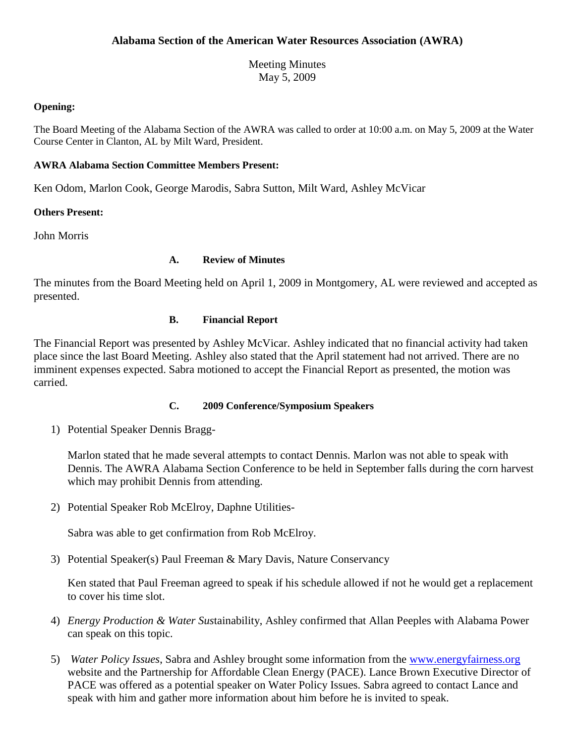Meeting Minutes May 5, 2009

## **Opening:**

The Board Meeting of the Alabama Section of the AWRA was called to order at 10:00 a.m. on May 5, 2009 at the Water Course Center in Clanton, AL by Milt Ward, President.

# **AWRA Alabama Section Committee Members Present:**

Ken Odom, Marlon Cook, George Marodis, Sabra Sutton, Milt Ward, Ashley McVicar

# **Others Present:**

John Morris

# **A. Review of Minutes**

The minutes from the Board Meeting held on April 1, 2009 in Montgomery, AL were reviewed and accepted as presented.

# **B. Financial Report**

The Financial Report was presented by Ashley McVicar. Ashley indicated that no financial activity had taken place since the last Board Meeting. Ashley also stated that the April statement had not arrived. There are no imminent expenses expected. Sabra motioned to accept the Financial Report as presented, the motion was carried.

### **C. 2009 Conference/Symposium Speakers**

1) Potential Speaker Dennis Bragg-

Marlon stated that he made several attempts to contact Dennis. Marlon was not able to speak with Dennis. The AWRA Alabama Section Conference to be held in September falls during the corn harvest which may prohibit Dennis from attending.

2) Potential Speaker Rob McElroy, Daphne Utilities-

Sabra was able to get confirmation from Rob McElroy.

3) Potential Speaker(s) Paul Freeman & Mary Davis, Nature Conservancy

Ken stated that Paul Freeman agreed to speak if his schedule allowed if not he would get a replacement to cover his time slot.

- 4) *Energy Production & Water Sus*tainability, Ashley confirmed that Allan Peeples with Alabama Power can speak on this topic.
- 5) *Water Policy Issues*, Sabra and Ashley brought some information from the [www.energyfairness.org](http://www.energyfairness.org/) website and the Partnership for Affordable Clean Energy (PACE). Lance Brown Executive Director of PACE was offered as a potential speaker on Water Policy Issues. Sabra agreed to contact Lance and speak with him and gather more information about him before he is invited to speak.